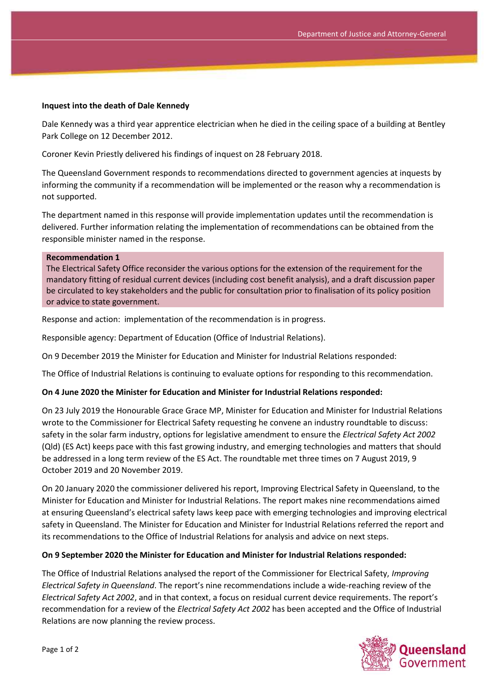### **Inquest into the death of Dale Kennedy**

Dale Kennedy was a third year apprentice electrician when he died in the ceiling space of a building at Bentley Park College on 12 December 2012.

Coroner Kevin Priestly delivered his findings of inquest on 28 February 2018.

The Queensland Government responds to recommendations directed to government agencies at inquests by informing the community if a recommendation will be implemented or the reason why a recommendation is not supported.

The department named in this response will provide implementation updates until the recommendation is delivered. Further information relating the implementation of recommendations can be obtained from the responsible minister named in the response.

#### **Recommendation 1**

The Electrical Safety Office reconsider the various options for the extension of the requirement for the mandatory fitting of residual current devices (including cost benefit analysis), and a draft discussion paper be circulated to key stakeholders and the public for consultation prior to finalisation of its policy position or advice to state government.

Response and action: implementation of the recommendation is in progress.

Responsible agency: Department of Education (Office of Industrial Relations).

On 9 December 2019 the Minister for Education and Minister for Industrial Relations responded:

The Office of Industrial Relations is continuing to evaluate options for responding to this recommendation.

### **On 4 June 2020 the Minister for Education and Minister for Industrial Relations responded:**

On 23 July 2019 the Honourable Grace Grace MP, Minister for Education and Minister for Industrial Relations wrote to the Commissioner for Electrical Safety requesting he convene an industry roundtable to discuss: safety in the solar farm industry, options for legislative amendment to ensure the *Electrical Safety Act 2002* (Qld) (ES Act) keeps pace with this fast growing industry, and emerging technologies and matters that should be addressed in a long term review of the ES Act. The roundtable met three times on 7 August 2019, 9 October 2019 and 20 November 2019.

On 20 January 2020 the commissioner delivered his report, Improving Electrical Safety in Queensland, to the Minister for Education and Minister for Industrial Relations. The report makes nine recommendations aimed at ensuring Queensland's electrical safety laws keep pace with emerging technologies and improving electrical safety in Queensland. The Minister for Education and Minister for Industrial Relations referred the report and its recommendations to the Office of Industrial Relations for analysis and advice on next steps.

#### **On 9 September 2020 the Minister for Education and Minister for Industrial Relations responded:**

The Office of Industrial Relations analysed the report of the Commissioner for Electrical Safety, *Improving Electrical Safety in Queensland*. The report's nine recommendations include a wide-reaching review of the *Electrical Safety Act 2002*, and in that context, a focus on residual current device requirements. The report's recommendation for a review of the *Electrical Safety Act 2002* has been accepted and the Office of Industrial Relations are now planning the review process.